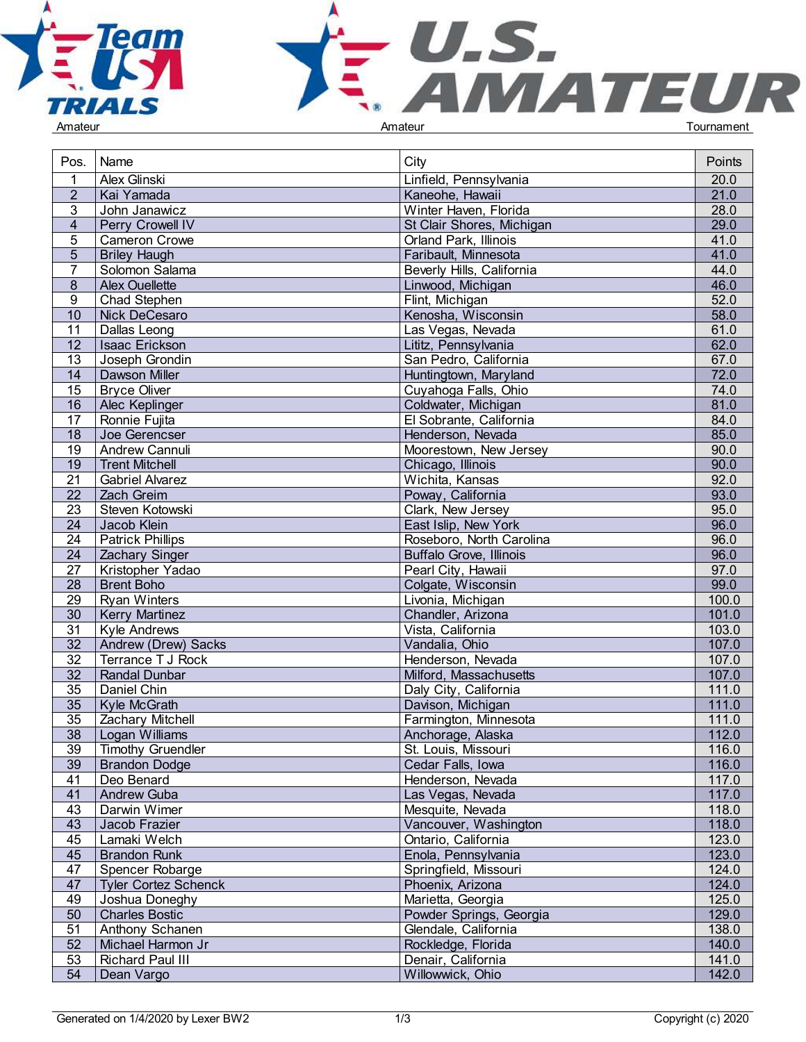



| Pos.            | Name                        | City                           | Points            |
|-----------------|-----------------------------|--------------------------------|-------------------|
|                 | Alex Glinski                | Linfield, Pennsylvania         | 20.0              |
| $\overline{2}$  | Kai Yamada                  | Kaneohe, Hawaii                | 21.0              |
| 3               | John Janawicz               | Winter Haven, Florida          | 28.0              |
| $\overline{4}$  | Perry Crowell IV            | St Clair Shores, Michigan      | 29.0              |
| 5               | <b>Cameron Crowe</b>        | Orland Park, Illinois          | 41.0              |
| 5               | <b>Briley Haugh</b>         | Faribault, Minnesota           | 41.0              |
| $\overline{7}$  | Solomon Salama              | Beverly Hills, California      | 44.0              |
| 8               | <b>Alex Ouellette</b>       | Linwood, Michigan              | 46.0              |
| 9               | Chad Stephen                |                                | 52.0              |
|                 |                             | Flint, Michigan                | 58.0              |
| 10              | Nick DeCesaro               | Kenosha, Wisconsin             |                   |
| 11              | Dallas Leong                | Las Vegas, Nevada              | 61.0              |
| 12              | Isaac Erickson              | Lititz, Pennsylvania           | 62.0              |
| 13              | Joseph Grondin              | San Pedro, California          | 67.0              |
| 14              | Dawson Miller               | Huntingtown, Maryland          | $\overline{72.0}$ |
| $\overline{15}$ | <b>Bryce Oliver</b>         | Cuyahoga Falls, Ohio           | 74.0              |
| 16              | Alec Keplinger              | Coldwater, Michigan            | 81.0              |
| 17              | Ronnie Fujita               | El Sobrante, California        | 84.0              |
| 18              | Joe Gerencser               | Henderson, Nevada              | 85.0              |
| 19              | Andrew Cannuli              | Moorestown, New Jersey         | 90.0              |
| 19              | <b>Trent Mitchell</b>       | Chicago, Illinois              | 90.0              |
| 21              | <b>Gabriel Alvarez</b>      | Wichita, Kansas                | 92.0              |
| 22              | Zach Greim                  | Poway, California              | 93.0              |
| 23              | Steven Kotowski             | Clark, New Jersey              | 95.0              |
| 24              | Jacob Klein                 | East Islip, New York           | 96.0              |
| 24              | <b>Patrick Phillips</b>     | Roseboro, North Carolina       | 96.0              |
| 24              | <b>Zachary Singer</b>       | <b>Buffalo Grove, Illinois</b> | 96.0              |
| 27              | Kristopher Yadao            | Pearl City, Hawaii             | 97.0              |
| $\overline{28}$ | <b>Brent Boho</b>           | Colgate, Wisconsin             | 99.0              |
| $\overline{29}$ | <b>Ryan Winters</b>         | Livonia, Michigan              | 100.0             |
| 30              | <b>Kerry Martinez</b>       | Chandler, Arizona              | 101.0             |
| 31              | Kyle Andrews                | Vista, California              | 103.0             |
| $\overline{32}$ | Andrew (Drew) Sacks         | Vandalia, Ohio                 | 107.0             |
| 32              | Terrance T J Rock           | Henderson, Nevada              | 107.0             |
| $\overline{32}$ | <b>Randal Dunbar</b>        | Milford, Massachusetts         | 107.0             |
| 35              | Daniel Chin                 | Daly City, California          | 111.0             |
| 35              | Kyle McGrath                | Davison, Michigan              | 111.0             |
| $\overline{35}$ | Zachary Mitchell            | Farmington, Minnesota          | 111.0             |
| 38              | Logan Williams              | Anchorage, Alaska              | 112.0             |
| 39              | <b>Timothy Gruendler</b>    | St. Louis, Missouri            | 116.0             |
| 39              | <b>Brandon Dodge</b>        | Cedar Falls, Iowa              | 116.0             |
| 41              | Deo Benard                  | Henderson, Nevada              | 117.0             |
| 41              | Andrew Guba                 | Las Vegas, Nevada              | 117.0             |
| 43              | Darwin Wimer                | Mesquite, Nevada               | 118.0             |
| 43              | Jacob Frazier               | Vancouver, Washington          | 118.0             |
| 45              | Lamaki Welch                | Ontario, California            | 123.0             |
| 45              | <b>Brandon Runk</b>         | Enola, Pennsylvania            | 123.0             |
| 47              | Spencer Robarge             | Springfield, Missouri          | 124.0             |
| 47              |                             | Phoenix, Arizona               | 124.0             |
| 49              | <b>Tyler Cortez Schenck</b> |                                |                   |
|                 | Joshua Doneghy              | Marietta, Georgia              | 125.0             |
| 50              | <b>Charles Bostic</b>       | Powder Springs, Georgia        | 129.0             |
| 51              | Anthony Schanen             | Glendale, California           | 138.0             |
| 52              | Michael Harmon Jr           | Rockledge, Florida             | 140.0             |
| 53              | <b>Richard Paul III</b>     | Denair, California             | 141.0             |
| 54              | Dean Vargo                  | Willowwick, Ohio               | 142.0             |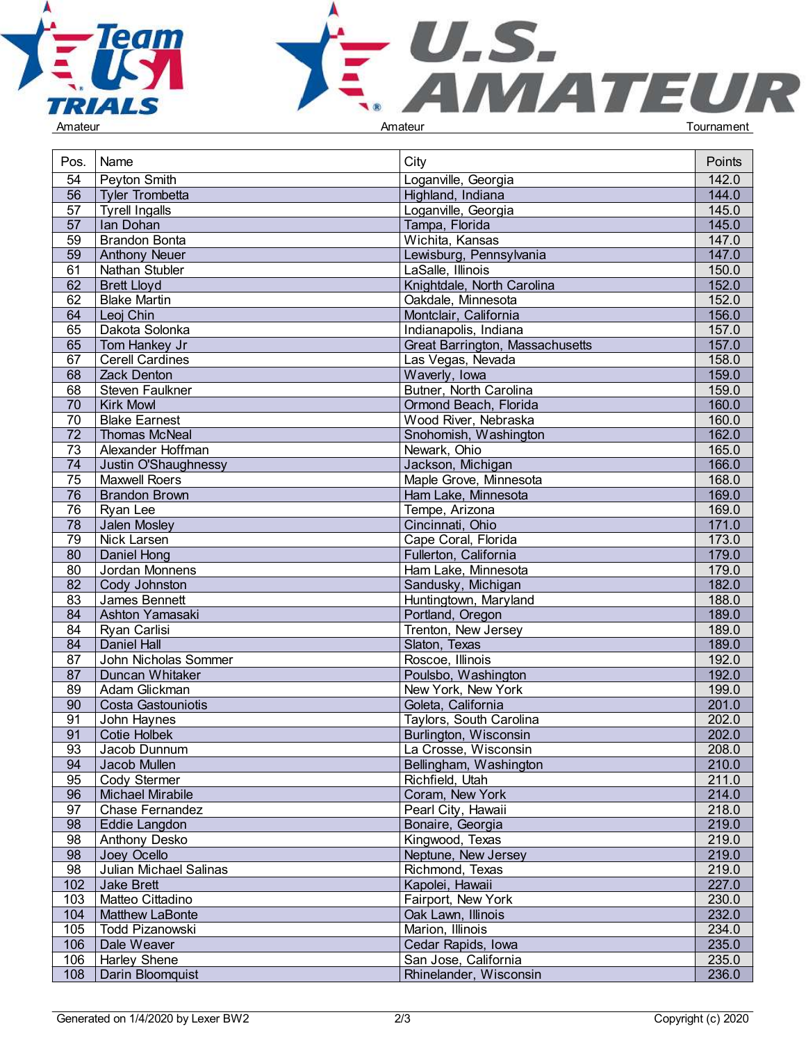



| Pos.            | Name                   | City                            | Points |
|-----------------|------------------------|---------------------------------|--------|
| 54              | Peyton Smith           | Loganville, Georgia             | 142.0  |
| 56              | <b>Tyler Trombetta</b> | Highland, Indiana               | 144.0  |
| 57              | <b>Tyrell Ingalls</b>  | Loganville, Georgia             | 145.0  |
| 57              | Ian Dohan              | Tampa, Florida                  | 145.0  |
| $\overline{59}$ | <b>Brandon Bonta</b>   | Wichita, Kansas                 | 147.0  |
| 59              | <b>Anthony Neuer</b>   | Lewisburg, Pennsylvania         | 147.0  |
| 61              | Nathan Stubler         | LaSalle, Illinois               | 150.0  |
| 62              | <b>Brett Lloyd</b>     | Knightdale, North Carolina      | 152.0  |
| 62              | <b>Blake Martin</b>    | Oakdale, Minnesota              | 152.0  |
| 64              | Leoj Chin              | Montclair, California           | 156.0  |
| 65              | Dakota Solonka         |                                 | 157.0  |
|                 |                        | Indianapolis, Indiana           |        |
| 65              | Tom Hankey Jr          | Great Barrington, Massachusetts | 157.0  |
| 67              | <b>Cerell Cardines</b> | Las Vegas, Nevada               | 158.0  |
| 68              | Zack Denton            | Waverly, Iowa                   | 159.0  |
| 68              | Steven Faulkner        | Butner, North Carolina          | 159.0  |
| 70              | <b>Kirk Mowl</b>       | Ormond Beach, Florida           | 160.0  |
| 70              | <b>Blake Earnest</b>   | Wood River, Nebraska            | 160.0  |
| 72              | <b>Thomas McNeal</b>   | Snohomish, Washington           | 162.0  |
| 73              | Alexander Hoffman      | Newark, Ohio                    | 165.0  |
| 74              | Justin O'Shaughnessy   | Jackson, Michigan               | 166.0  |
| 75              | <b>Maxwell Roers</b>   | Maple Grove, Minnesota          | 168.0  |
| 76              | <b>Brandon Brown</b>   | Ham Lake, Minnesota             | 169.0  |
| 76              | Ryan Lee               | Tempe, Arizona                  | 169.0  |
| 78              | Jalen Mosley           | Cincinnati, Ohio                | 171.0  |
| 79              | Nick Larsen            | Cape Coral, Florida             | 173.0  |
| 80              | Daniel Hong            | Fullerton, California           | 179.0  |
| $\overline{80}$ | Jordan Monnens         | Ham Lake, Minnesota             | 179.0  |
| 82              | Cody Johnston          | Sandusky, Michigan              | 182.0  |
| 83              | James Bennett          | Huntingtown, Maryland           | 188.0  |
| 84              | Ashton Yamasaki        | Portland, Oregon                | 189.0  |
| 84              | Ryan Carlisi           | Trenton, New Jersey             | 189.0  |
| 84              | Daniel Hall            | Slaton, Texas                   | 189.0  |
| 87              | John Nicholas Sommer   | Roscoe, Illinois                | 192.0  |
| 87              | Duncan Whitaker        | Poulsbo, Washington             | 192.0  |
| 89              | Adam Glickman          | New York, New York              | 199.0  |
| 90              | Costa Gastouniotis     | Goleta, California              | 201.0  |
| 91              | John Haynes            | Taylors, South Carolina         | 202.0  |
| 91              | Cotie Holbek           | Burlington, Wisconsin           | 202.0  |
| 93              | Jacob Dunnum           | La Crosse, Wisconsin            | 208.0  |
| 94              | Jacob Mullen           | Bellingham, Washington          | 210.0  |
| 95              | Cody Stermer           | Richfield, Utah                 | 211.0  |
| 96              | Michael Mirabile       | Coram, New York                 | 214.0  |
| 97              | Chase Fernandez        | Pearl City, Hawaii              | 218.0  |
| 98              | Eddie Langdon          | Bonaire, Georgia                | 219.0  |
| 98              | Anthony Desko          | Kingwood, Texas                 | 219.0  |
| 98              |                        |                                 | 219.0  |
|                 | Joey Ocello            | Neptune, New Jersey             |        |
| 98              | Julian Michael Salinas | Richmond, Texas                 | 219.0  |
| 102             | Jake Brett             | Kapolei, Hawaii                 | 227.0  |
| 103             | Matteo Cittadino       | Fairport, New York              | 230.0  |
| 104             | <b>Matthew LaBonte</b> | Oak Lawn, Illinois              | 232.0  |
| 105             | Todd Pizanowski        | Marion, Illinois                | 234.0  |
| 106             | Dale Weaver            | Cedar Rapids, Iowa              | 235.0  |
| 106             | <b>Harley Shene</b>    | San Jose, California            | 235.0  |
| 108             | Darin Bloomquist       | Rhinelander, Wisconsin          | 236.0  |